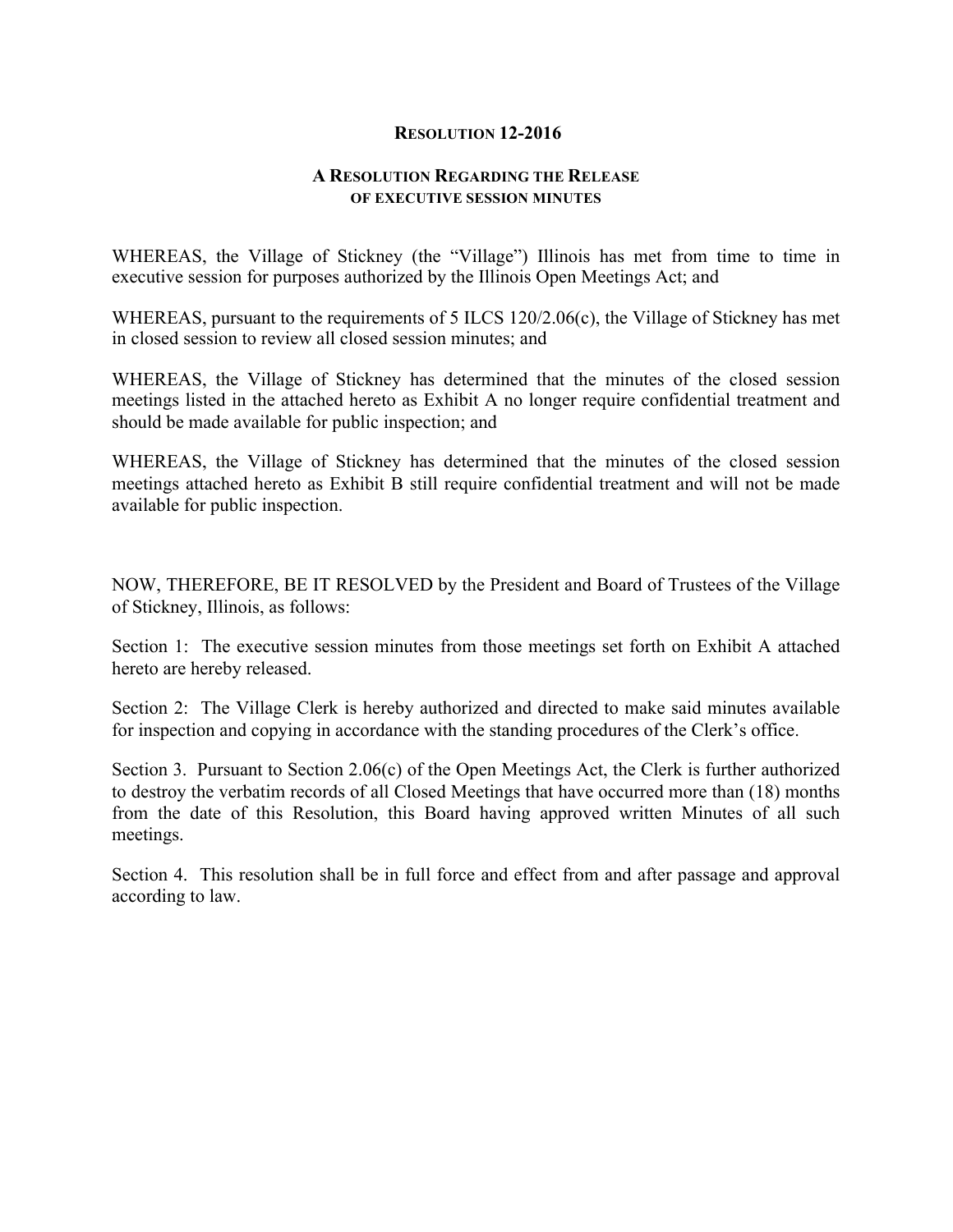## **RESOLUTION 12-2016**

## **A RESOLUTION REGARDING THE RELEASE OF EXECUTIVE SESSION MINUTES**

WHEREAS, the Village of Stickney (the "Village") Illinois has met from time to time in executive session for purposes authorized by the Illinois Open Meetings Act; and

WHEREAS, pursuant to the requirements of 5 ILCS 120/2.06(c), the Village of Stickney has met in closed session to review all closed session minutes; and

WHEREAS, the Village of Stickney has determined that the minutes of the closed session meetings listed in the attached hereto as Exhibit A no longer require confidential treatment and should be made available for public inspection; and

WHEREAS, the Village of Stickney has determined that the minutes of the closed session meetings attached hereto as Exhibit B still require confidential treatment and will not be made available for public inspection.

NOW, THEREFORE, BE IT RESOLVED by the President and Board of Trustees of the Village of Stickney, Illinois, as follows:

Section 1: The executive session minutes from those meetings set forth on Exhibit A attached hereto are hereby released.

Section 2: The Village Clerk is hereby authorized and directed to make said minutes available for inspection and copying in accordance with the standing procedures of the Clerk's office.

Section 3. Pursuant to Section 2.06(c) of the Open Meetings Act, the Clerk is further authorized to destroy the verbatim records of all Closed Meetings that have occurred more than (18) months from the date of this Resolution, this Board having approved written Minutes of all such meetings.

Section 4. This resolution shall be in full force and effect from and after passage and approval according to law.